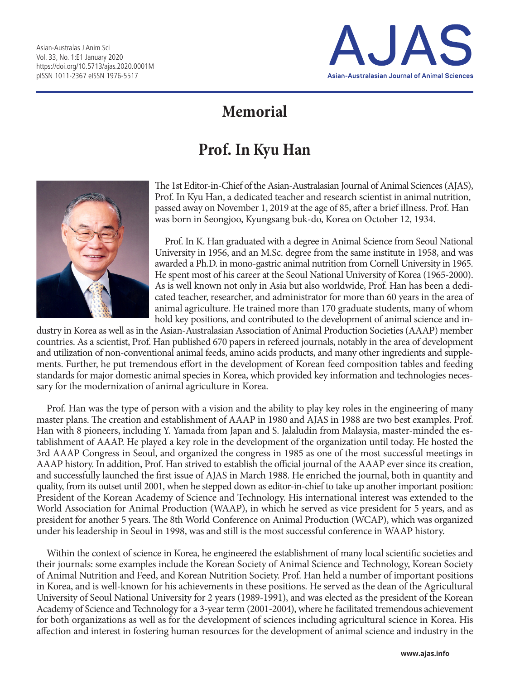

## **Memorial**

## **Prof. In Kyu Han**



The 1st Editor-in-Chief of the Asian-Australasian Journal of Animal Sciences (AJAS), Prof. In Kyu Han, a dedicated teacher and research scientist in animal nutrition, passed away on November 1, 2019 at the age of 85, after a brief illness. Prof. Han was born in Seongjoo, Kyungsang buk-do, Korea on October 12, 1934.

Prof. In K. Han graduated with a degree in Animal Science from Seoul National University in 1956, and an M.Sc. degree from the same institute in 1958, and was awarded a Ph.D. in mono-gastric animal nutrition from Cornell University in 1965. He spent most of his career at the Seoul National University of Korea (1965-2000). As is well known not only in Asia but also worldwide, Prof. Han has been a dedicated teacher, researcher, and administrator for more than 60 years in the area of animal agriculture. He trained more than 170 graduate students, many of whom hold key positions, and contributed to the development of animal science and in-

dustry in Korea as well as in the Asian-Australasian Association of Animal Production Societies (AAAP) member countries. As a scientist, Prof. Han published 670 papers in refereed journals, notably in the area of development and utilization of non-conventional animal feeds, amino acids products, and many other ingredients and supplements. Further, he put tremendous effort in the development of Korean feed composition tables and feeding standards for major domestic animal species in Korea, which provided key information and technologies necessary for the modernization of animal agriculture in Korea.

Prof. Han was the type of person with a vision and the ability to play key roles in the engineering of many master plans. The creation and establishment of AAAP in 1980 and AJAS in 1988 are two best examples. Prof. Han with 8 pioneers, including Y. Yamada from Japan and S. Jalaludin from Malaysia, master-minded the establishment of AAAP. He played a key role in the development of the organization until today. He hosted the 3rd AAAP Congress in Seoul, and organized the congress in 1985 as one of the most successful meetings in AAAP history. In addition, Prof. Han strived to establish the official journal of the AAAP ever since its creation, and successfully launched the first issue of AJAS in March 1988. He enriched the journal, both in quantity and quality, from its outset until 2001, when he stepped down as editor-in-chief to take up another important position: President of the Korean Academy of Science and Technology. His international interest was extended to the World Association for Animal Production (WAAP), in which he served as vice president for 5 years, and as president for another 5 years. The 8th World Conference on Animal Production (WCAP), which was organized under his leadership in Seoul in 1998, was and still is the most successful conference in WAAP history.

Within the context of science in Korea, he engineered the establishment of many local scientific societies and their journals: some examples include the Korean Society of Animal Science and Technology, Korean Society of Animal Nutrition and Feed, and Korean Nutrition Society. Prof. Han held a number of important positions in Korea, and is well-known for his achievements in these positions. He served as the dean of the Agricultural University of Seoul National University for 2 years (1989-1991), and was elected as the president of the Korean Academy of Science and Technology for a 3-year term (2001-2004), where he facilitated tremendous achievement for both organizations as well as for the development of sciences including agricultural science in Korea. His affection and interest in fostering human resources for the development of animal science and industry in the